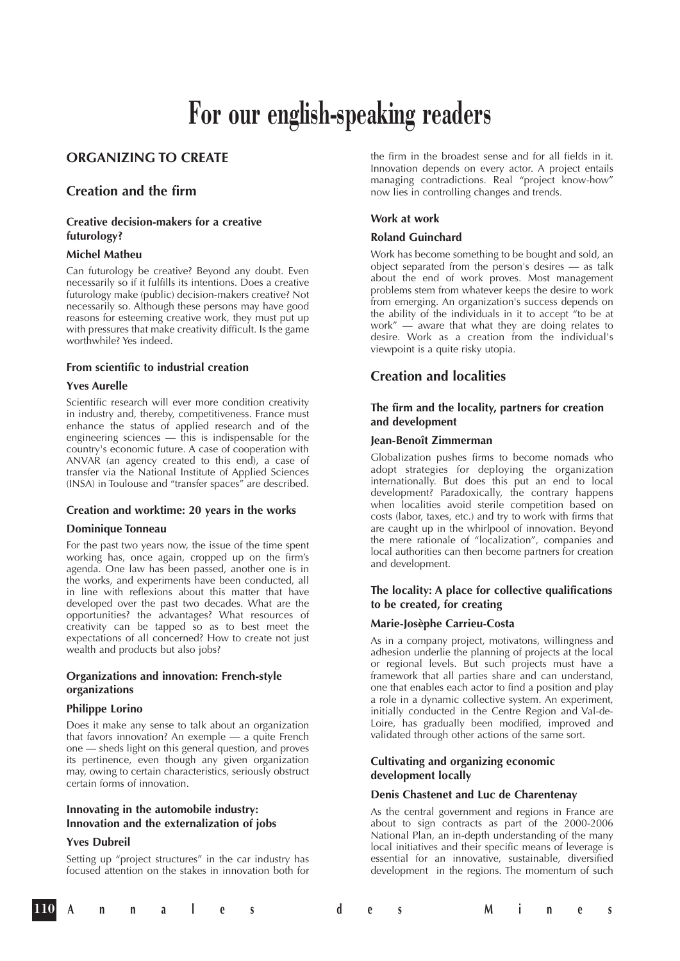# **For our english-speaking readers**

# **ORGANIZING TO CREATE**

# **Creation and the firm**

#### **Creative decision-makers for a creative futurology?**

#### **Michel Matheu**

Can futurology be creative? Beyond any doubt. Even necessarily so if it fulfills its intentions. Does a creative futurology make (public) decision-makers creative? Not necessarily so. Although these persons may have good reasons for esteeming creative work, they must put up with pressures that make creativity difficult. Is the game worthwhile? Yes indeed.

#### **From scientific to industrial creation**

#### **Yves Aurelle**

Scientific research will ever more condition creativity in industry and, thereby, competitiveness. France must enhance the status of applied research and of the engineering sciences — this is indispensable for the country's economic future. A case of cooperation with ANVAR (an agency created to this end), a case of transfer via the National Institute of Applied Sciences (INSA) in Toulouse and "transfer spaces" are described.

#### **Creation and worktime: 20 years in the works**

#### **Dominique Tonneau**

For the past two years now, the issue of the time spent working has, once again, cropped up on the firm's agenda. One law has been passed, another one is in the works, and experiments have been conducted, all in line with reflexions about this matter that have developed over the past two decades. What are the opportunities? the advantages? What resources of creativity can be tapped so as to best meet the expectations of all concerned? How to create not just wealth and products but also jobs?

#### **Organizations and innovation: French-style organizations**

#### **Philippe Lorino**

Does it make any sense to talk about an organization that favors innovation? An exemple — a quite French one — sheds light on this general question, and proves its pertinence, even though any given organization may, owing to certain characteristics, seriously obstruct certain forms of innovation.

#### **Innovating in the automobile industry: Innovation and the externalization of jobs**

#### **Yves Dubreil**

Setting up "project structures" in the car industry has focused attention on the stakes in innovation both for the firm in the broadest sense and for all fields in it. Innovation depends on every actor. A project entails managing contradictions. Real "project know-how" now lies in controlling changes and trends.

#### **Work at work**

#### **Roland Guinchard**

Work has become something to be bought and sold, an object separated from the person's desires — as talk about the end of work proves. Most management problems stem from whatever keeps the desire to work from emerging. An organization's success depends on the ability of the individuals in it to accept "to be at work" — aware that what they are doing relates to desire. Work as a creation from the individual's viewpoint is a quite risky utopia.

# **Creation and localities**

#### **The firm and the locality, partners for creation and development**

#### **Jean-Benoît Zimmerman**

Globalization pushes firms to become nomads who adopt strategies for deploying the organization internationally. But does this put an end to local development? Paradoxically, the contrary happens when localities avoid sterile competition based on costs (labor, taxes, etc.) and try to work with firms that are caught up in the whirlpool of innovation. Beyond the mere rationale of "localization", companies and local authorities can then become partners for creation and development.

#### **The locality: A place for collective qualifications to be created, for creating**

#### **Marie-Josèphe Carrieu-Costa**

As in a company project, motivatons, willingness and adhesion underlie the planning of projects at the local or regional levels. But such projects must have a framework that all parties share and can understand, one that enables each actor to find a position and play a role in a dynamic collective system. An experiment, initially conducted in the Centre Region and Val-de-Loire, has gradually been modified, improved and validated through other actions of the same sort.

#### **Cultivating and organizing economic development locally**

#### **Denis Chastenet and Luc de Charentenay**

As the central government and regions in France are about to sign contracts as part of the 2000-2006 National Plan, an in-depth understanding of the many local initiatives and their specific means of leverage is essential for an innovative, sustainable, diversified development in the regions. The momentum of such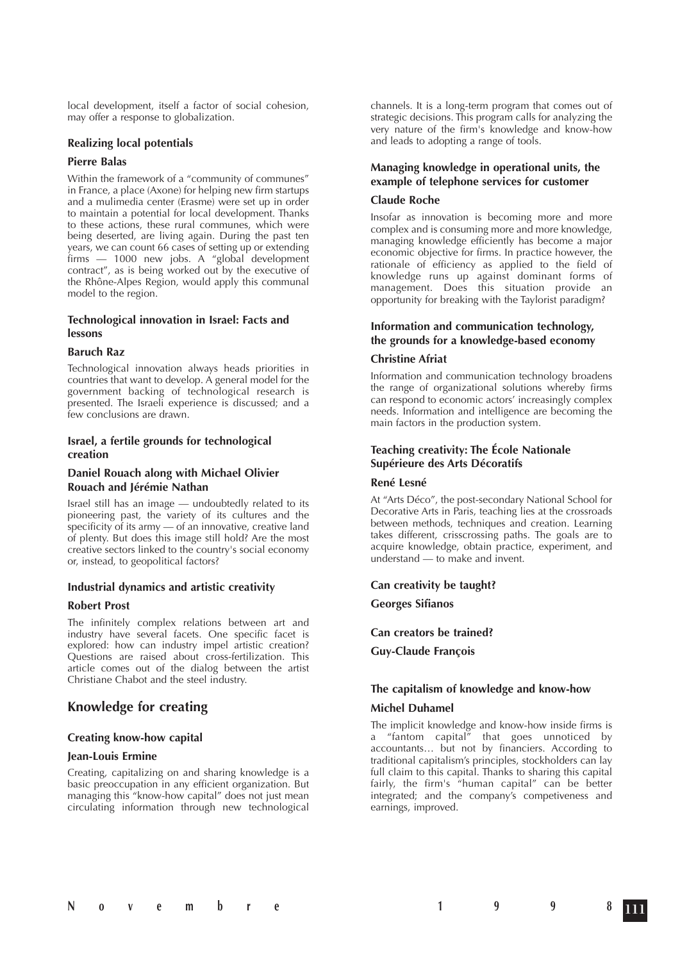local development, itself a factor of social cohesion, may offer a response to globalization.

#### **Realizing local potentials**

#### **Pierre Balas**

Within the framework of a "community of communes" in France, a place (Axone) for helping new firm startups and a mulimedia center (Erasme) were set up in order to maintain a potential for local development. Thanks to these actions, these rural communes, which were being deserted, are living again. During the past ten years, we can count 66 cases of setting up or extending firms — 1000 new jobs. A "global development contract", as is being worked out by the executive of the Rhône-Alpes Region, would apply this communal model to the region.

#### **Technological innovation in Israel: Facts and lessons**

#### **Baruch Raz**

Technological innovation always heads priorities in countries that want to develop. A general model for the government backing of technological research is presented. The Israeli experience is discussed; and a few conclusions are drawn.

#### **Israel, a fertile grounds for technological creation**

#### **Daniel Rouach along with Michael Olivier Rouach and Jérémie Nathan**

Israel still has an image — undoubtedly related to its pioneering past, the variety of its cultures and the specificity of its army — of an innovative, creative land of plenty. But does this image still hold? Are the most creative sectors linked to the country's social economy or, instead, to geopolitical factors?

#### **Industrial dynamics and artistic creativity**

#### **Robert Prost**

The infinitely complex relations between art and industry have several facets. One specific facet is explored: how can industry impel artistic creation? Questions are raised about cross-fertilization. This article comes out of the dialog between the artist Christiane Chabot and the steel industry.

### **Knowledge for creating**

#### **Creating know-how capital**

#### **Jean-Louis Ermine**

Creating, capitalizing on and sharing knowledge is a basic preoccupation in any efficient organization. But managing this "know-how capital" does not just mean circulating information through new technological

channels. It is a long-term program that comes out of strategic decisions. This program calls for analyzing the very nature of the firm's knowledge and know-how and leads to adopting a range of tools.

#### **Managing knowledge in operational units, the example of telephone services for customer**

#### **Claude Roche**

Insofar as innovation is becoming more and more complex and is consuming more and more knowledge, managing knowledge efficiently has become a major economic objective for firms. In practice however, the rationale of efficiency as applied to the field of knowledge runs up against dominant forms of management. Does this situation provide an opportunity for breaking with the Taylorist paradigm?

#### **Information and communication technology, the grounds for a knowledge-based economy**

#### **Christine Afriat**

Information and communication technology broadens the range of organizational solutions whereby firms can respond to economic actors' increasingly complex needs. Information and intelligence are becoming the main factors in the production system.

#### **Teaching creativity: The École Nationale Supérieure des Arts Décoratifs**

#### **René Lesné**

At "Arts Déco", the post-secondary National School for Decorative Arts in Paris, teaching lies at the crossroads between methods, techniques and creation. Learning takes different, crisscrossing paths. The goals are to acquire knowledge, obtain practice, experiment, and understand — to make and invent.

**Can creativity be taught?**

**Georges Sifianos**

**Can creators be trained? Guy-Claude François**

#### **The capitalism of knowledge and know-how**

#### **Michel Duhamel**

The implicit knowledge and know-how inside firms is a "fantom capital" that goes unnoticed by accountants… but not by financiers. According to traditional capitalism's principles, stockholders can lay full claim to this capital. Thanks to sharing this capital fairly, the firm's "human capital" can be better integrated; and the company's competiveness and earnings, improved.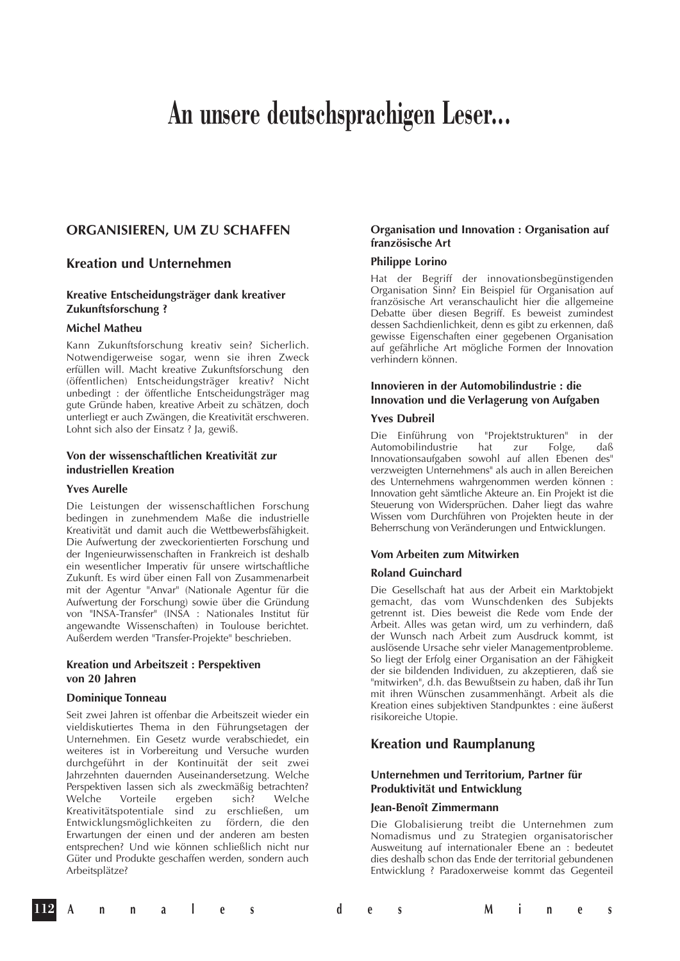# **An unsere deutschsprachigen Leser...**

# **ORGANISIEREN, UM ZU SCHAFFEN**

# **Kreation und Unternehmen**

### **Kreative Entscheidungsträger dank kreativer Zukunftsforschung ?**

#### **Michel Matheu**

Kann Zukunftsforschung kreativ sein? Sicherlich. Notwendigerweise sogar, wenn sie ihren Zweck erfüllen will. Macht kreative Zukunftsforschung den (öffentlichen) Entscheidungsträger kreativ? Nicht unbedingt : der öffentliche Entscheidungsträger mag gute Gründe haben, kreative Arbeit zu schätzen, doch unterliegt er auch Zwängen, die Kreativität erschweren. Lohnt sich also der Einsatz ? Ja, gewiß.

#### **Von der wissenschaftlichen Kreativität zur industriellen Kreation**

#### **Yves Aurelle**

Die Leistungen der wissenschaftlichen Forschung bedingen in zunehmendem Maße die industrielle Kreativität und damit auch die Wettbewerbsfähigkeit. Die Aufwertung der zweckorientierten Forschung und der Ingenieurwissenschaften in Frankreich ist deshalb ein wesentlicher Imperativ für unsere wirtschaftliche Zukunft. Es wird über einen Fall von Zusammenarbeit mit der Agentur "Anvar" (Nationale Agentur für die Aufwertung der Forschung) sowie über die Gründung von "INSA-Transfer" (INSA : Nationales Institut für angewandte Wissenschaften) in Toulouse berichtet. Außerdem werden "Transfer-Projekte" beschrieben.

#### **Kreation und Arbeitszeit : Perspektiven von 20 Jahren**

#### **Dominique Tonneau**

Seit zwei Jahren ist offenbar die Arbeitszeit wieder ein vieldiskutiertes Thema in den Führungsetagen der Unternehmen. Ein Gesetz wurde verabschiedet, ein weiteres ist in Vorbereitung und Versuche wurden durchgeführt in der Kontinuität der seit zwei Jahrzehnten dauernden Auseinandersetzung. Welche Perspektiven lassen sich als zweckmäßig betrachten? Welche Vorteile ergeben sich? Welche Kreativitätspotentiale sind zu erschließen, um Entwicklungsmöglichkeiten zu fördern, die den Erwartungen der einen und der anderen am besten entsprechen? Und wie können schließlich nicht nur Güter und Produkte geschaffen werden, sondern auch Arbeitsplätze?

#### **Organisation und Innovation : Organisation auf französische Art**

#### **Philippe Lorino**

Hat der Begriff der innovationsbegünstigenden Organisation Sinn? Ein Beispiel für Organisation auf französische Art veranschaulicht hier die allgemeine Debatte über diesen Begriff. Es beweist zumindest dessen Sachdienlichkeit, denn es gibt zu erkennen, daß gewisse Eigenschaften einer gegebenen Organisation auf gefährliche Art mögliche Formen der Innovation verhindern können.

#### **Innovieren in der Automobilindustrie : die Innovation und die Verlagerung von Aufgaben**

#### **Yves Dubreil**

Die Einführung von "Projektstrukturen" in der Automobilindustrie Innovationsaufgaben sowohl auf allen Ebenen des" verzweigten Unternehmens" als auch in allen Bereichen des Unternehmens wahrgenommen werden können : Innovation geht sämtliche Akteure an. Ein Projekt ist die Steuerung von Widersprüchen. Daher liegt das wahre Wissen vom Durchführen von Projekten heute in der Beherrschung von Veränderungen und Entwicklungen.

#### **Vom Arbeiten zum Mitwirken**

#### **Roland Guinchard**

Die Gesellschaft hat aus der Arbeit ein Marktobjekt gemacht, das vom Wunschdenken des Subjekts getrennt ist. Dies beweist die Rede vom Ende der Arbeit. Alles was getan wird, um zu verhindern, daß der Wunsch nach Arbeit zum Ausdruck kommt, ist auslösende Ursache sehr vieler Managementprobleme. So liegt der Erfolg einer Organisation an der Fähigkeit der sie bildenden Individuen, zu akzeptieren, daß sie "mitwirken", d.h. das Bewußtsein zu haben, daß ihr Tun mit ihren Wünschen zusammenhängt. Arbeit als die Kreation eines subjektiven Standpunktes : eine äußerst risikoreiche Utopie.

### **Kreation und Raumplanung**

#### **Unternehmen und Territorium, Partner für Produktivität und Entwicklung**

#### **Jean-Benoît Zimmermann**

Die Globalisierung treibt die Unternehmen zum Nomadismus und zu Strategien organisatorischer Ausweitung auf internationaler Ebene an : bedeutet dies deshalb schon das Ende der territorial gebundenen Entwicklung ? Paradoxerweise kommt das Gegenteil

|  |  |  |  |  |  |  |  |  | 112 Annales des Mines |  |  |  |  |  |  |  |  |  |
|--|--|--|--|--|--|--|--|--|-----------------------|--|--|--|--|--|--|--|--|--|
|--|--|--|--|--|--|--|--|--|-----------------------|--|--|--|--|--|--|--|--|--|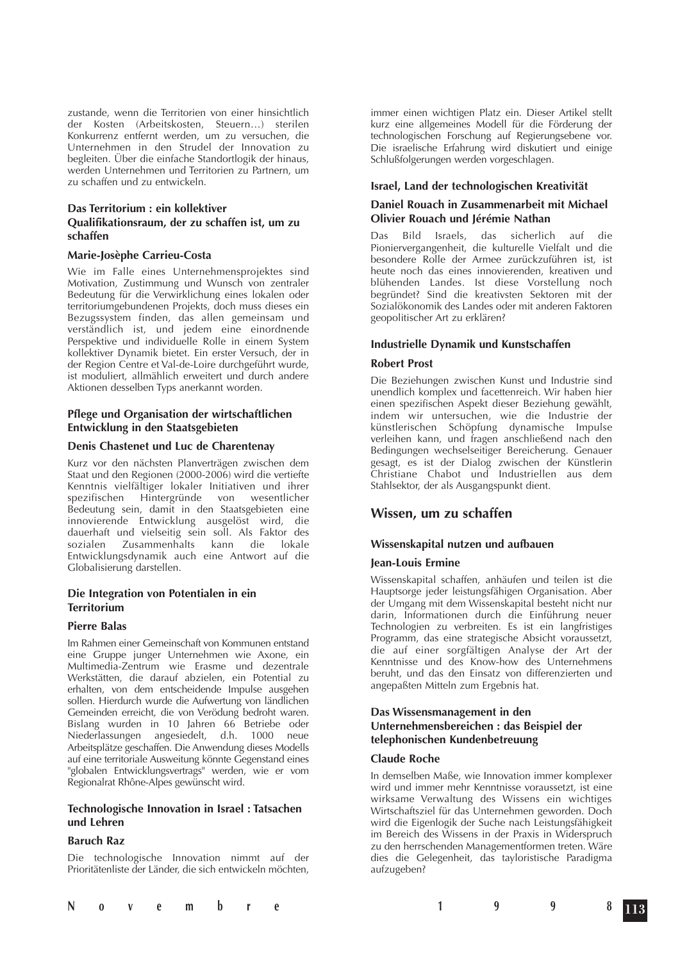zustande, wenn die Territorien von einer hinsichtlich der Kosten (Arbeitskosten, Steuern…) sterilen Konkurrenz entfernt werden, um zu versuchen, die Unternehmen in den Strudel der Innovation zu begleiten. Über die einfache Standortlogik der hinaus, werden Unternehmen und Territorien zu Partnern, um zu schaffen und zu entwickeln.

#### **Das Territorium : ein kollektiver Qualifikationsraum, der zu schaffen ist, um zu schaffen**

#### **Marie-Josèphe Carrieu-Costa**

Wie im Falle eines Unternehmensprojektes sind Motivation, Zustimmung und Wunsch von zentraler Bedeutung für die Verwirklichung eines lokalen oder territoriumgebundenen Projekts, doch muss dieses ein Bezugssystem finden, das allen gemeinsam und verständlich ist, und jedem eine einordnende Perspektive und individuelle Rolle in einem System kollektiver Dynamik bietet. Ein erster Versuch, der in der Region Centre et Val-de-Loire durchgeführt wurde, ist moduliert, allmählich erweitert und durch andere Aktionen desselben Typs anerkannt worden.

#### **Pflege und Organisation der wirtschaftlichen Entwicklung in den Staatsgebieten**

#### **Denis Chastenet und Luc de Charentenay**

Kurz vor den nächsten Planverträgen zwischen dem Staat und den Regionen (2000-2006) wird die vertiefte Kenntnis vielfältiger lokaler Initiativen und ihrer spezifischen Hintergründe Bedeutung sein, damit in den Staatsgebieten eine innovierende Entwicklung ausgelöst wird, die dauerhaft und vielseitig sein soll. Als Faktor des sozialen Zusammenhalts kann Entwicklungsdynamik auch eine Antwort auf die Globalisierung darstellen.

### **Die Integration von Potentialen in ein Territorium**

#### **Pierre Balas**

Im Rahmen einer Gemeinschaft von Kommunen entstand eine Gruppe junger Unternehmen wie Axone, ein Multimedia-Zentrum wie Erasme und dezentrale Werkstätten, die darauf abzielen, ein Potential zu erhalten, von dem entscheidende Impulse ausgehen sollen. Hierdurch wurde die Aufwertung von ländlichen Gemeinden erreicht, die von Verödung bedroht waren. Bislang wurden in 10 Jahren 66 Betriebe oder Niederlassungen angesiedelt, d.h. 1000 neue Arbeitsplätze geschaffen. Die Anwendung dieses Modells auf eine territoriale Ausweitung könnte Gegenstand eines "globalen Entwicklungsvertrags" werden, wie er vom Regionalrat Rhône-Alpes gewünscht wird.

#### **Technologische Innovation in Israel : Tatsachen und Lehren**

#### **Baruch Raz**

Die technologische Innovation nimmt auf der Prioritätenliste der Länder, die sich entwickeln möchten, immer einen wichtigen Platz ein. Dieser Artikel stellt kurz eine allgemeines Modell für die Förderung der technologischen Forschung auf Regierungsebene vor. Die israelische Erfahrung wird diskutiert und einige Schlußfolgerungen werden vorgeschlagen.

#### **Israel, Land der technologischen Kreativität**

#### **Daniel Rouach in Zusammenarbeit mit Michael Olivier Rouach und Jérémie Nathan**

Das Bild Israels, das sicherlich auf die Pioniervergangenheit, die kulturelle Vielfalt und die besondere Rolle der Armee zurückzuführen ist, ist heute noch das eines innovierenden, kreativen und blühenden Landes. Ist diese Vorstellung noch begründet? Sind die kreativsten Sektoren mit der Sozialökonomik des Landes oder mit anderen Faktoren geopolitischer Art zu erklären?

#### **Industrielle Dynamik und Kunstschaffen**

#### **Robert Prost**

Die Beziehungen zwischen Kunst und Industrie sind unendlich komplex und facettenreich. Wir haben hier einen spezifischen Aspekt dieser Beziehung gewählt, indem wir untersuchen, wie die Industrie der künstlerischen Schöpfung dynamische Impulse verleihen kann, und fragen anschließend nach den Bedingungen wechselseitiger Bereicherung. Genauer gesagt, es ist der Dialog zwischen der Künstlerin Christiane Chabot und Industriellen aus dem Stahlsektor, der als Ausgangspunkt dient.

# **Wissen, um zu schaffen**

#### **Wissenskapital nutzen und aufbauen**

#### **Jean-Louis Ermine**

Wissenskapital schaffen, anhäufen und teilen ist die Hauptsorge jeder leistungsfähigen Organisation. Aber der Umgang mit dem Wissenskapital besteht nicht nur darin, Informationen durch die Einführung neuer Technologien zu verbreiten. Es ist ein langfristiges Programm, das eine strategische Absicht voraussetzt, die auf einer sorgfältigen Analyse der Art der Kenntnisse und des Know-how des Unternehmens beruht, und das den Einsatz von differenzierten und angepaßten Mitteln zum Ergebnis hat.

#### **Das Wissensmanagement in den Unternehmensbereichen : das Beispiel der telephonischen Kundenbetreuung**

#### **Claude Roche**

In demselben Maße, wie Innovation immer komplexer wird und immer mehr Kenntnisse voraussetzt, ist eine wirksame Verwaltung des Wissens ein wichtiges Wirtschaftsziel für das Unternehmen geworden. Doch wird die Eigenlogik der Suche nach Leistungsfähigkeit im Bereich des Wissens in der Praxis in Widerspruch zu den herrschenden Managementformen treten. Wäre dies die Gelegenheit, das tayloristische Paradigma aufzugeben?

|  |  |  |  | N o v e m b r e |  |  |  |  | $1 \qquad 9 \qquad 9 \qquad 8 \qquad 113$ |  |  |  |
|--|--|--|--|-----------------|--|--|--|--|-------------------------------------------|--|--|--|
|--|--|--|--|-----------------|--|--|--|--|-------------------------------------------|--|--|--|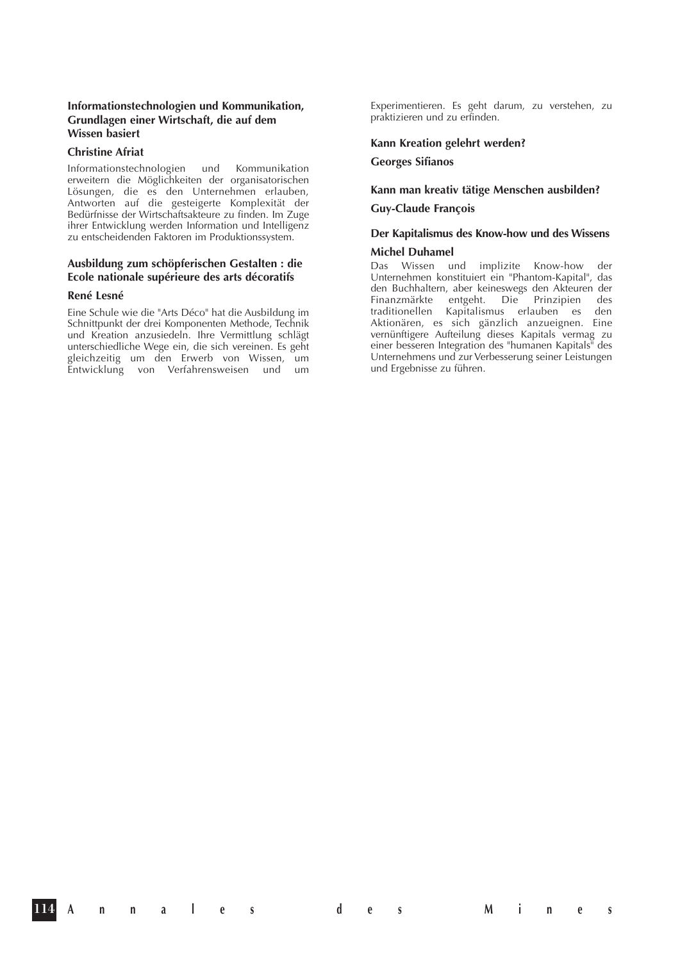#### **Informationstechnologien und Kommunikation, Grundlagen einer Wirtschaft, die auf dem Wissen basiert**

#### **Christine Afriat**

Informationstechnologien und Kommunikation erweitern die Möglichkeiten der organisatorischen Lösungen, die es den Unternehmen erlauben, Antworten auf die gesteigerte Komplexität der Bedürfnisse der Wirtschaftsakteure zu finden. Im Zuge ihrer Entwicklung werden Information und Intelligenz zu entscheidenden Faktoren im Produktionssystem.

#### **Ausbildung zum schöpferischen Gestalten : die Ecole nationale supérieure des arts décoratifs**

#### **René Lesné**

Eine Schule wie die "Arts Déco" hat die Ausbildung im Schnittpunkt der drei Komponenten Methode, Technik und Kreation anzusiedeln. Ihre Vermittlung schlägt unterschiedliche Wege ein, die sich vereinen. Es geht gleichzeitig um den Erwerb von Wissen, um Entwicklung von Verfahrensweisen und um

Experimentieren. Es geht darum, zu verstehen, zu praktizieren und zu erfinden.

#### **Kann Kreation gelehrt werden?**

#### **Georges Sifianos**

### **Kann man kreativ tätige Menschen ausbilden?**

#### **Guy-Claude François**

# **Der Kapitalismus des Know-how und des Wissens**

#### **Michel Duhamel**

Das Wissen und implizite Know-how der Unternehmen konstituiert ein "Phantom-Kapital", das den Buchhaltern, aber keineswegs den Akteuren der Finanzmärkte entgeht. Die Prinzipien des traditionellen Kapitalismus erlauben es Aktionären, es sich gänzlich anzueignen. Eine vernünftigere Aufteilung dieses Kapitals vermag zu einer besseren Integration des "humanen Kapitals" des Unternehmens und zur Verbesserung seiner Leistungen und Ergebnisse zu führen.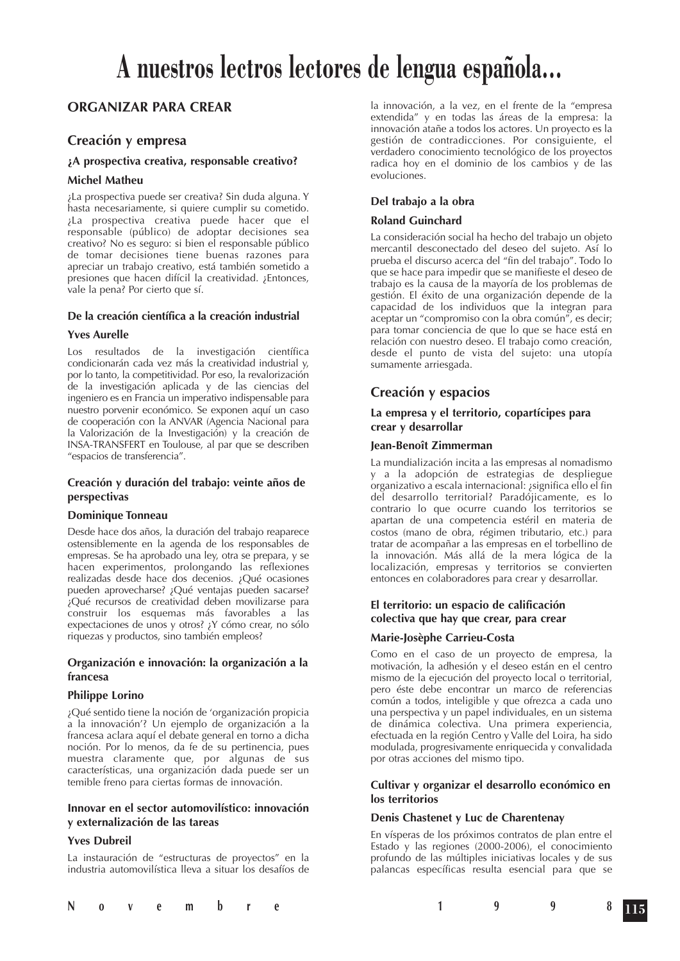# **A nuestros lectros lectores de lengua española…**

# **ORGANIZAR PARA CREAR**

# **Creación y empresa**

#### **¿A prospectiva creativa, responsable creativo?**

#### **Michel Matheu**

¿La prospectiva puede ser creativa? Sin duda alguna. Y hasta necesariamente, si quiere cumplir su cometido. ¿La prospectiva creativa puede hacer que el responsable (público) de adoptar decisiones sea creativo? No es seguro: si bien el responsable público de tomar decisiones tiene buenas razones para apreciar un trabajo creativo, está también sometido a presiones que hacen difícil la creatividad. ¿Entonces, vale la pena? Por cierto que sí.

#### **De la creación científica a la creación industrial**

#### **Yves Aurelle**

Los resultados de la investigación científica condicionarán cada vez más la creatividad industrial y, por lo tanto, la competitividad. Por eso, la revalorización de la investigación aplicada y de las ciencias del ingeniero es en Francia un imperativo indispensable para nuestro porvenir económico. Se exponen aquí un caso de cooperación con la ANVAR (Agencia Nacional para la Valorización de la Investigación) y la creación de INSA-TRANSFERT en Toulouse, al par que se describen "espacios de transferencia".

#### **Creación y duración del trabajo: veinte años de perspectivas**

#### **Dominique Tonneau**

Desde hace dos años, la duración del trabajo reaparece ostensiblemente en la agenda de los responsables de empresas. Se ha aprobado una ley, otra se prepara, y se hacen experimentos, prolongando las reflexiones realizadas desde hace dos decenios. ¿Qué ocasiones pueden aprovecharse? ¿Qué ventajas pueden sacarse? ¿Qué recursos de creatividad deben movilizarse para construir los esquemas más favorables a las expectaciones de unos y otros? ¿Y cómo crear, no sólo riquezas y productos, sino también empleos?

#### **Organización e innovación: la organización a la francesa**

#### **Philippe Lorino**

¿Qué sentido tiene la noción de 'organización propicia a la innovación'? Un ejemplo de organización a la francesa aclara aquí el debate general en torno a dicha noción. Por lo menos, da fe de su pertinencia, pues muestra claramente que, por algunas de sus características, una organización dada puede ser un temible freno para ciertas formas de innovación.

#### **Innovar en el sector automovilístico: innovación y externalización de las tareas**

#### **Yves Dubreil**

La instauración de "estructuras de proyectos" en la industria automovilística lleva a situar los desafíos de la innovación, a la vez, en el frente de la "empresa extendida" y en todas las áreas de la empresa: la innovación atañe a todos los actores. Un proyecto es la gestión de contradicciones. Por consiguiente, el verdadero conocimiento tecnológico de los proyectos radica hoy en el dominio de los cambios y de las evoluciones.

#### **Del trabajo a la obra**

#### **Roland Guinchard**

La consideración social ha hecho del trabajo un objeto mercantil desconectado del deseo del sujeto. Así lo prueba el discurso acerca del "fin del trabajo". Todo lo que se hace para impedir que se manifieste el deseo de trabajo es la causa de la mayoría de los problemas de gestión. El éxito de una organización depende de la capacidad de los individuos que la integran para aceptar un "compromiso con la obra común", es decir; para tomar conciencia de que lo que se hace está en relación con nuestro deseo. El trabajo como creación, desde el punto de vista del sujeto: una utopía sumamente arriesgada.

# **Creación y espacios**

#### **La empresa y el territorio, copartícipes para crear y desarrollar**

#### **Jean-Benoît Zimmerman**

La mundialización incita a las empresas al nomadismo y a la adopción de estrategias de despliegue organizativo a escala internacional: ¿significa ello el fin del desarrollo territorial? Paradójicamente, es lo contrario lo que ocurre cuando los territorios se apartan de una competencia estéril en materia de costos (mano de obra, régimen tributario, etc.) para tratar de acompañar a las empresas en el torbellino de la innovación. Más allá de la mera lógica de la localización, empresas y territorios se convierten entonces en colaboradores para crear y desarrollar.

# **El territorio: un espacio de calificación colectiva que hay que crear, para crear**

#### **Marie-Josèphe Carrieu-Costa**

Como en el caso de un proyecto de empresa, la motivación, la adhesión y el deseo están en el centro mismo de la ejecución del proyecto local o territorial, pero éste debe encontrar un marco de referencias común a todos, inteligible y que ofrezca a cada uno una perspectiva y un papel individuales, en un sistema de dinámica colectiva. Una primera experiencia, efectuada en la región Centro y Valle del Loira, ha sido modulada, progresivamente enriquecida y convalidada por otras acciones del mismo tipo.

#### **Cultivar y organizar el desarrollo económico en los territorios**

#### **Denis Chastenet y Luc de Charentenay**

En vísperas de los próximos contratos de plan entre el Estado y las regiones (2000-2006), el conocimiento profundo de las múltiples iniciativas locales y de sus palancas específicas resulta esencial para que se

|  |  |  |  | N o v e m b r e |  |  |  | $1 \qquad 9 \qquad 9 \qquad 8 \qquad 115$ |  |  |  |
|--|--|--|--|-----------------|--|--|--|-------------------------------------------|--|--|--|
|--|--|--|--|-----------------|--|--|--|-------------------------------------------|--|--|--|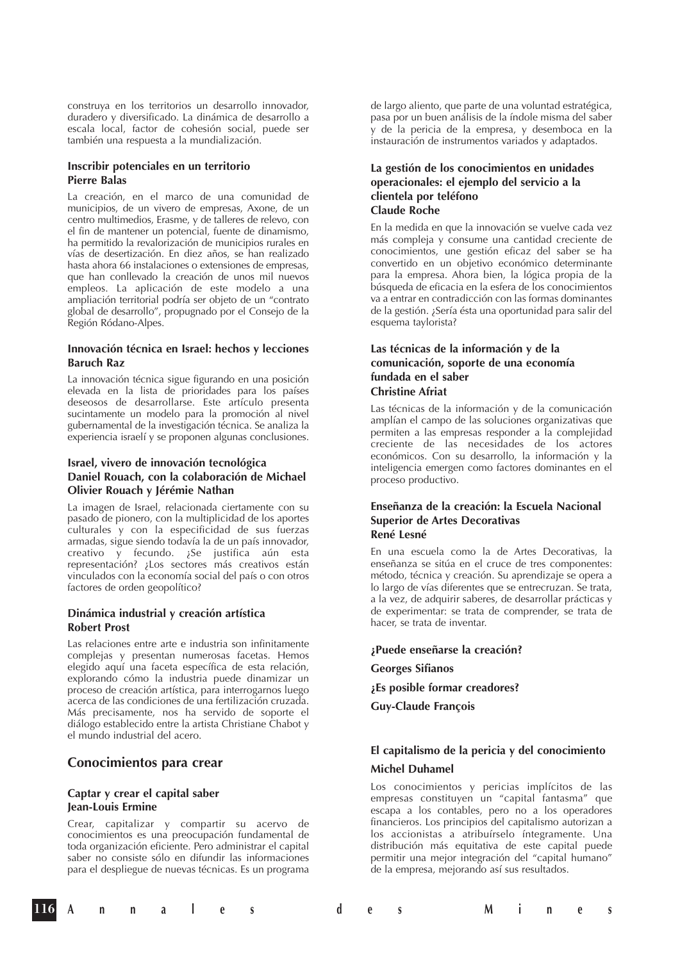construya en los territorios un desarrollo innovador, duradero y diversificado. La dinámica de desarrollo a escala local, factor de cohesión social, puede ser también una respuesta a la mundialización.

#### **Inscribir potenciales en un territorio Pierre Balas**

La creación, en el marco de una comunidad de municipios, de un vivero de empresas, Axone, de un centro multimedios, Erasme, y de talleres de relevo, con el fin de mantener un potencial, fuente de dinamismo, ha permitido la revalorización de municipios rurales en vías de desertización. En diez años, se han realizado hasta ahora 66 instalaciones o extensiones de empresas, que han conllevado la creación de unos mil nuevos empleos. La aplicación de este modelo a una ampliación territorial podría ser objeto de un "contrato global de desarrollo", propugnado por el Consejo de la Región Ródano-Alpes.

#### **Innovación técnica en Israel: hechos y lecciones Baruch Raz**

La innovación técnica sigue figurando en una posición elevada en la lista de prioridades para los países deseosos de desarrollarse. Este artículo presenta sucintamente un modelo para la promoción al nivel gubernamental de la investigación técnica. Se analiza la experiencia israelí y se proponen algunas conclusiones.

#### **Israel, vivero de innovación tecnológica Daniel Rouach, con la colaboración de Michael Olivier Rouach y Jérémie Nathan**

La imagen de Israel, relacionada ciertamente con su pasado de pionero, con la multiplicidad de los aportes culturales y con la especificidad de sus fuerzas armadas, sigue siendo todavía la de un país innovador, creativo y fecundo. ¿Se justifica aún esta representación? ¿Los sectores más creativos están vinculados con la economía social del país o con otros factores de orden geopolítico?

#### **Dinámica industrial y creación artística Robert Prost**

Las relaciones entre arte e industria son infinitamente complejas y presentan numerosas facetas. Hemos elegido aquí una faceta específica de esta relación, explorando cómo la industria puede dinamizar un proceso de creación artística, para interrogarnos luego acerca de las condiciones de una fertilización cruzada. Más precisamente, nos ha servido de soporte el diálogo establecido entre la artista Christiane Chabot y el mundo industrial del acero.

### **Conocimientos para crear**

#### **Captar y crear el capital saber Jean-Louis Ermine**

Crear, capitalizar y compartir su acervo de conocimientos es una preocupación fundamental de toda organización eficiente. Pero administrar el capital saber no consiste sólo en difundir las informaciones para el despliegue de nuevas técnicas. Es un programa de largo aliento, que parte de una voluntad estratégica, pasa por un buen análisis de la índole misma del saber y de la pericia de la empresa, y desemboca en la instauración de instrumentos variados y adaptados.

#### **La gestión de los conocimientos en unidades operacionales: el ejemplo del servicio a la clientela por teléfono Claude Roche**

En la medida en que la innovación se vuelve cada vez más compleja y consume una cantidad creciente de conocimientos, une gestión eficaz del saber se ha convertido en un objetivo económico determinante para la empresa. Ahora bien, la lógica propia de la búsqueda de eficacia en la esfera de los conocimientos va a entrar en contradicción con las formas dominantes de la gestión. ¿Sería ésta una oportunidad para salir del esquema taylorista?

#### **Las técnicas de la información y de la comunicación, soporte de una economía fundada en el saber Christine Afriat**

Las técnicas de la información y de la comunicación amplían el campo de las soluciones organizativas que permiten a las empresas responder a la complejidad creciente de las necesidades de los actores económicos. Con su desarrollo, la información y la inteligencia emergen como factores dominantes en el proceso productivo.

#### **Enseñanza de la creación: la Escuela Nacional Superior de Artes Decorativas René Lesné**

En una escuela como la de Artes Decorativas, la enseñanza se sitúa en el cruce de tres componentes: método, técnica y creación. Su aprendizaje se opera a lo largo de vías diferentes que se entrecruzan. Se trata, a la vez, de adquirir saberes, de desarrollar prácticas y de experimentar: se trata de comprender, se trata de hacer, se trata de inventar.

**¿Puede enseñarse la creación? Georges Sifianos ¿Es posible formar creadores? Guy-Claude François**

### **El capitalismo de la pericia y del conocimiento**

#### **Michel Duhamel**

Los conocimientos y pericias implícitos de las empresas constituyen un "capital fantasma" que escapa a los contables, pero no a los operadores financieros. Los principios del capitalismo autorizan a los accionistas a atribuírselo íntegramente. Una distribución más equitativa de este capital puede permitir una mejor integración del "capital humano" de la empresa, mejorando así sus resultados.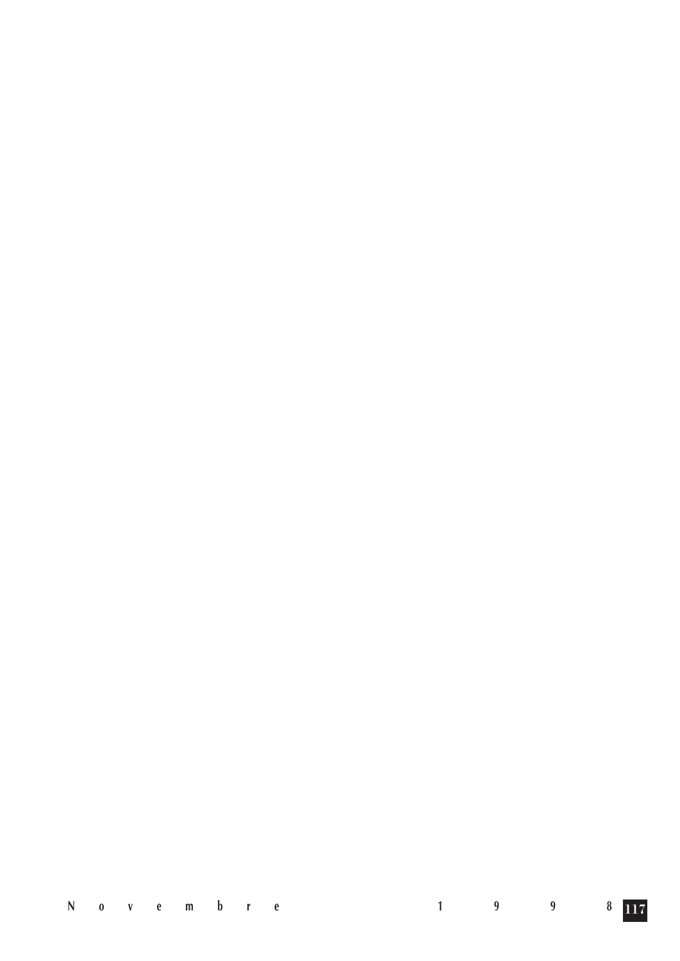**N o v e m b r e 1 9 9 8 117**